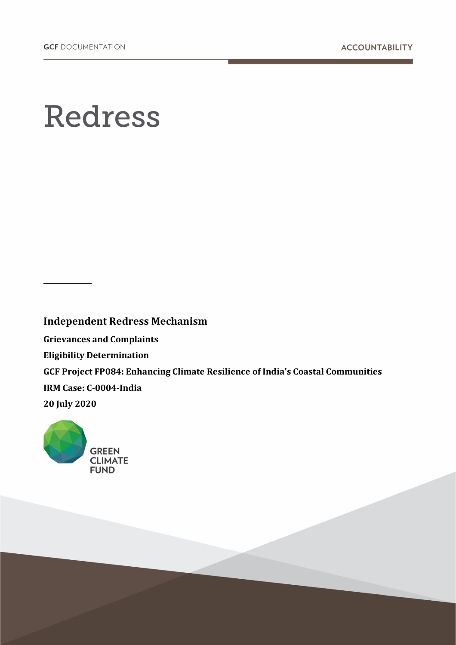# **Redress**

**Independent Redress Mechanism Grievances and Complaints Eligibility Determination GCF Project FP084: Enhancing Climate Resilience of India's Coastal Communities IRM Case: C-0004-India 20 July 2020**

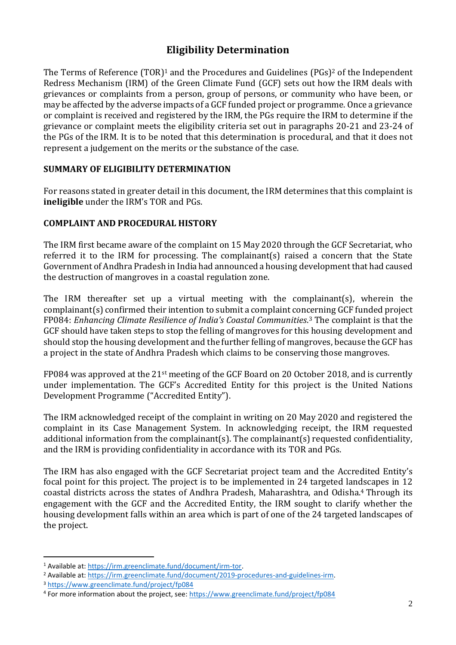## **Eligibility Determination**

The Terms of Reference (TOR)<sup>1</sup> and the Procedures and Guidelines (PGs)<sup>2</sup> of the Independent Redress Mechanism (IRM) of the Green Climate Fund (GCF) sets out how the IRM deals with grievances or complaints from a person, group of persons, or community who have been, or may be affected by the adverse impacts of a GCF funded project or programme. Once a grievance or complaint is received and registered by the IRM, the PGs require the IRM to determine if the grievance or complaint meets the eligibility criteria set out in paragraphs 20-21 and 23-24 of the PGs of the IRM. It is to be noted that this determination is procedural, and that it does not represent a judgement on the merits or the substance of the case.

#### **SUMMARY OF ELIGIBILITY DETERMINATION**

For reasons stated in greater detail in this document, the IRM determines that this complaint is **ineligible** under the IRM's TOR and PGs.

#### **COMPLAINT AND PROCEDURAL HISTORY**

The IRM first became aware of the complaint on 15 May 2020 through the GCF Secretariat, who referred it to the IRM for processing. The complainant(s) raised a concern that the State Government of Andhra Pradesh in India had announced a housing development that had caused the destruction of mangroves in a coastal regulation zone.

The IRM thereafter set up a virtual meeting with the complainant(s), wherein the complainant(s) confirmed their intention to submit a complaint concerning GCF funded project FP084: *Enhancing Climate Resilience of India's Coastal Communities*. <sup>3</sup> The complaint is that the GCF should have taken steps to stop the felling of mangroves for this housing development and should stop the housing development and the further felling of mangroves, because the GCF has a project in the state of Andhra Pradesh which claims to be conserving those mangroves.

FP084 was approved at the 21st meeting of the GCF Board on 20 October 2018, and is currently under implementation. The GCF's Accredited Entity for this project is the United Nations Development Programme ("Accredited Entity").

The IRM acknowledged receipt of the complaint in writing on 20 May 2020 and registered the complaint in its Case Management System. In acknowledging receipt, the IRM requested additional information from the complainant(s). The complainant(s) requested confidentiality, and the IRM is providing confidentiality in accordance with its TOR and PGs.

The IRM has also engaged with the GCF Secretariat project team and the Accredited Entity's focal point for this project. The project is to be implemented in 24 targeted landscapes in 12 coastal districts across the states of Andhra Pradesh, Maharashtra, and Odisha.<sup>4</sup> Through its engagement with the GCF and the Accredited Entity, the IRM sought to clarify whether the housing development falls within an area which is part of one of the 24 targeted landscapes of the project.

<sup>1</sup> Available at[: https://irm.greenclimate.fund/document/irm-tor.](https://irm.greenclimate.fund/document/irm-tor)

<sup>&</sup>lt;sup>2</sup> Available at[: https://irm.greenclimate.fund/document/2019-procedures-and-guidelines-irm.](https://irm.greenclimate.fund/document/2019-procedures-and-guidelines-irm)

<sup>3</sup> <https://www.greenclimate.fund/project/fp084>

<sup>&</sup>lt;sup>4</sup> For more information about the project, see:<https://www.greenclimate.fund/project/fp084>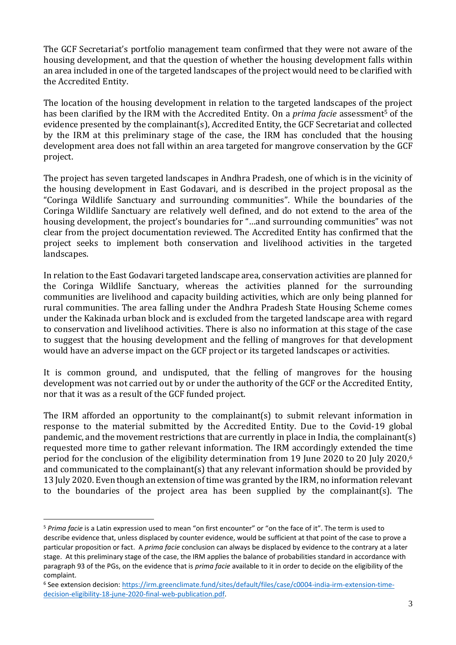The GCF Secretariat's portfolio management team confirmed that they were not aware of the housing development, and that the question of whether the housing development falls within an area included in one of the targeted landscapes of the project would need to be clarified with the Accredited Entity.

The location of the housing development in relation to the targeted landscapes of the project has been clarified by the IRM with the Accredited Entity. On a *prima facie* assessment<sup>5</sup> of the evidence presented by the complainant(s), Accredited Entity, the GCF Secretariat and collected by the IRM at this preliminary stage of the case, the IRM has concluded that the housing development area does not fall within an area targeted for mangrove conservation by the GCF project.

The project has seven targeted landscapes in Andhra Pradesh, one of which is in the vicinity of the housing development in East Godavari, and is described in the project proposal as the "Coringa Wildlife Sanctuary and surrounding communities". While the boundaries of the Coringa Wildlife Sanctuary are relatively well defined, and do not extend to the area of the housing development, the project's boundaries for "…and surrounding communities" was not clear from the project documentation reviewed. The Accredited Entity has confirmed that the project seeks to implement both conservation and livelihood activities in the targeted landscapes.

In relation to the East Godavari targeted landscape area, conservation activities are planned for the Coringa Wildlife Sanctuary, whereas the activities planned for the surrounding communities are livelihood and capacity building activities, which are only being planned for rural communities. The area falling under the Andhra Pradesh State Housing Scheme comes under the Kakinada urban block and is excluded from the targeted landscape area with regard to conservation and livelihood activities. There is also no information at this stage of the case to suggest that the housing development and the felling of mangroves for that development would have an adverse impact on the GCF project or its targeted landscapes or activities.

It is common ground, and undisputed, that the felling of mangroves for the housing development was not carried out by or under the authority of the GCF or the Accredited Entity, nor that it was as a result of the GCF funded project.

The IRM afforded an opportunity to the complainant(s) to submit relevant information in response to the material submitted by the Accredited Entity. Due to the Covid-19 global pandemic, and the movement restrictions that are currently in place in India, the complainant(s) requested more time to gather relevant information. The IRM accordingly extended the time period for the conclusion of the eligibility determination from 19 June 2020 to 20 July 2020, 6 and communicated to the complainant(s) that any relevant information should be provided by 13 July 2020. Even though an extension of time was granted by the IRM, no information relevant to the boundaries of the project area has been supplied by the complainant(s). The

<sup>5</sup> *Prima facie* is a Latin expression used to mean "on first encounter" or "on the face of it". The term is used to describe evidence that, unless displaced by counter evidence, would be sufficient at that point of the case to prove a particular proposition or fact. A *prima facie* conclusion can always be displaced by evidence to the contrary at a later stage. At this preliminary stage of the case, the IRM applies the balance of probabilities standard in accordance with paragraph 93 of the PGs, on the evidence that is *prima facie* available to it in order to decide on the eligibility of the complaint.

<sup>6</sup> See extension decision: [https://irm.greenclimate.fund/sites/default/files/case/c0004-india-irm-extension-time](https://irm.greenclimate.fund/sites/default/files/case/c0004-india-irm-extension-time-decision-eligibility-18-june-2020-final-web-publication.pdf)[decision-eligibility-18-june-2020-final-web-publication.pdf.](https://irm.greenclimate.fund/sites/default/files/case/c0004-india-irm-extension-time-decision-eligibility-18-june-2020-final-web-publication.pdf)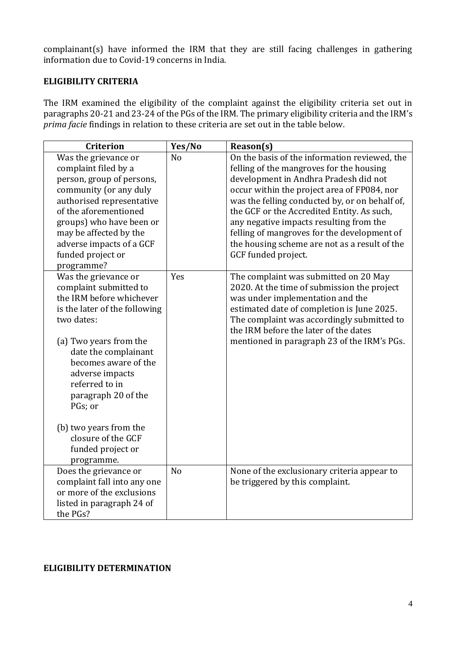complainant(s) have informed the IRM that they are still facing challenges in gathering information due to Covid-19 concerns in India.

### **ELIGIBILITY CRITERIA**

The IRM examined the eligibility of the complaint against the eligibility criteria set out in paragraphs 20-21 and 23-24 of the PGs of the IRM. The primary eligibility criteria and the IRM's *prima facie* findings in relation to these criteria are set out in the table below.

| <b>Criterion</b>                                                                                                                                                                                                                                                                                                                                              | Yes/No         | Reason(s)                                                                                                                                                                                                                                                                                                                                                                                                                                           |
|---------------------------------------------------------------------------------------------------------------------------------------------------------------------------------------------------------------------------------------------------------------------------------------------------------------------------------------------------------------|----------------|-----------------------------------------------------------------------------------------------------------------------------------------------------------------------------------------------------------------------------------------------------------------------------------------------------------------------------------------------------------------------------------------------------------------------------------------------------|
| Was the grievance or<br>complaint filed by a<br>person, group of persons,<br>community (or any duly<br>authorised representative<br>of the aforementioned<br>groups) who have been or<br>may be affected by the<br>adverse impacts of a GCF<br>funded project or<br>programme?                                                                                | N <sub>o</sub> | On the basis of the information reviewed, the<br>felling of the mangroves for the housing<br>development in Andhra Pradesh did not<br>occur within the project area of FP084, nor<br>was the felling conducted by, or on behalf of,<br>the GCF or the Accredited Entity. As such,<br>any negative impacts resulting from the<br>felling of mangroves for the development of<br>the housing scheme are not as a result of the<br>GCF funded project. |
| Was the grievance or<br>complaint submitted to<br>the IRM before whichever<br>is the later of the following<br>two dates:<br>(a) Two years from the<br>date the complainant<br>becomes aware of the<br>adverse impacts<br>referred to in<br>paragraph 20 of the<br>PGs; or<br>(b) two years from the<br>closure of the GCF<br>funded project or<br>programme. | Yes            | The complaint was submitted on 20 May<br>2020. At the time of submission the project<br>was under implementation and the<br>estimated date of completion is June 2025.<br>The complaint was accordingly submitted to<br>the IRM before the later of the dates<br>mentioned in paragraph 23 of the IRM's PGs.                                                                                                                                        |
| Does the grievance or<br>complaint fall into any one<br>or more of the exclusions<br>listed in paragraph 24 of<br>the PGs?                                                                                                                                                                                                                                    | N <sub>o</sub> | None of the exclusionary criteria appear to<br>be triggered by this complaint.                                                                                                                                                                                                                                                                                                                                                                      |

#### **ELIGIBILITY DETERMINATION**